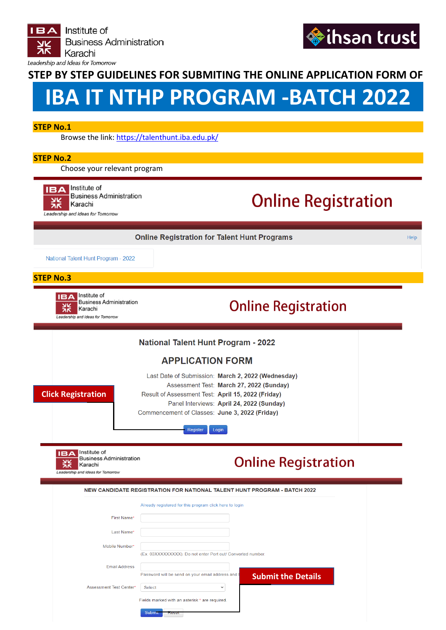



Help

### **STEP BY STEP GUIDELINES FOR SUBMITING THE ONLINE APPLICATION FORM OF**

# **IBA IT NTHP PROGRAM ‐BATCH 2022**

### **STEP No.1**

Browse the link[: https://talenthunt.iba.edu.pk/](https://talenthunt.iba.edu.pk/)

### **STEP No.2**

Choose your relevant program



**Business Administration** Karachi Leadership and Ideas for Tomorrow

## **Online Registration**

**Online Registration for Talent Hunt Programs** 

National Talent Hunt Program - 2022

#### **STEP No.3**



**Business Administration** Karachi Leadership and Ideas for Tomorrow

### **Online Registration**

| <b>National Talent Hunt Program - 2022</b>                                                                                                     |                                                                                                                                                                                                                                                                          |  |  |  |  |  |
|------------------------------------------------------------------------------------------------------------------------------------------------|--------------------------------------------------------------------------------------------------------------------------------------------------------------------------------------------------------------------------------------------------------------------------|--|--|--|--|--|
| <b>APPLICATION FORM</b>                                                                                                                        |                                                                                                                                                                                                                                                                          |  |  |  |  |  |
| <b>Click Registration</b>                                                                                                                      | Last Date of Submission: March 2, 2022 (Wednesday)<br>Assessment Test: March 27, 2022 (Sunday)<br>Result of Assessment Test: April 15, 2022 (Friday)<br>Panel Interviews: April 24, 2022 (Sunday)<br>Commencement of Classes: June 3, 2022 (Friday)<br>Register<br>Login |  |  |  |  |  |
| Institute of<br>IΒΔ<br><b>Business Administration</b><br><b>Online Registration</b><br>w<br>Karachi<br>Эκ<br>Leadership and Ideas for Tomorrow |                                                                                                                                                                                                                                                                          |  |  |  |  |  |
|                                                                                                                                                |                                                                                                                                                                                                                                                                          |  |  |  |  |  |
|                                                                                                                                                | NEW CANDIDATE REGISTRATION FOR NATIONAL TALENT HUNT PROGRAM - BATCH 2022                                                                                                                                                                                                 |  |  |  |  |  |
|                                                                                                                                                | Already registered for this program click here to login                                                                                                                                                                                                                  |  |  |  |  |  |
| First Name*                                                                                                                                    |                                                                                                                                                                                                                                                                          |  |  |  |  |  |
| Last Name*                                                                                                                                     |                                                                                                                                                                                                                                                                          |  |  |  |  |  |
| Mobile Number*                                                                                                                                 | (Ex. 03XXXXXXXXX). Do not enter Port out/ Converted number.                                                                                                                                                                                                              |  |  |  |  |  |
| <b>Email Address</b>                                                                                                                           | Password will be send on your email address and I                                                                                                                                                                                                                        |  |  |  |  |  |
| Assessment Test Center*                                                                                                                        | <b>Submit the Details</b><br><b>Select</b><br>$\checkmark$                                                                                                                                                                                                               |  |  |  |  |  |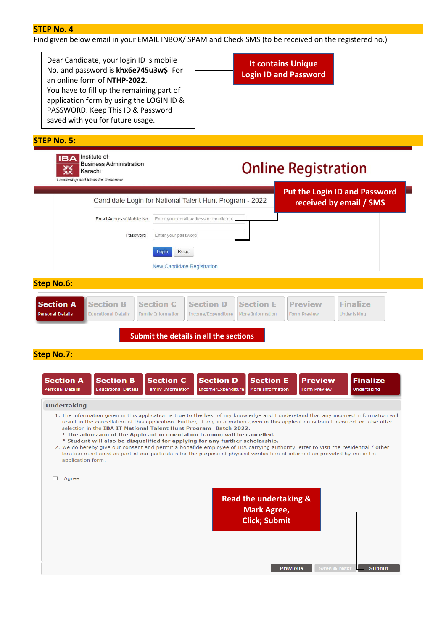Find given below email in your EMAIL INBOX/ SPAM and Check SMS (to be received on the registered no.)

Dear Candidate, your login ID is mobile No. and password is **khx6e745u3w\$**. For an online form of **NTHP-2022**. You have to fill up the remaining part of application form by using the LOGIN ID & PASSWORD. Keep This ID & Password saved with you for future usage.

**It contains Unique Login ID and Password** 

| <b>STEP No. 5:</b>                                                                                                                                                                                                                                                                                                                                                                                                                                                                                                                                                                                                                                                                                                                                                                                             |                                                                                         |                                             |                                       |                                       |  |
|----------------------------------------------------------------------------------------------------------------------------------------------------------------------------------------------------------------------------------------------------------------------------------------------------------------------------------------------------------------------------------------------------------------------------------------------------------------------------------------------------------------------------------------------------------------------------------------------------------------------------------------------------------------------------------------------------------------------------------------------------------------------------------------------------------------|-----------------------------------------------------------------------------------------|---------------------------------------------|---------------------------------------|---------------------------------------|--|
| Institute of<br>18 A<br><b>Business Administration</b><br>Karachi<br>Leadership and Ideas for Tomorrow                                                                                                                                                                                                                                                                                                                                                                                                                                                                                                                                                                                                                                                                                                         |                                                                                         |                                             | <b>Online Registration</b>            |                                       |  |
|                                                                                                                                                                                                                                                                                                                                                                                                                                                                                                                                                                                                                                                                                                                                                                                                                | Candidate Login for National Talent Hunt Program - 2022                                 |                                             | <b>Put the Login ID and Password</b>  |                                       |  |
|                                                                                                                                                                                                                                                                                                                                                                                                                                                                                                                                                                                                                                                                                                                                                                                                                |                                                                                         |                                             | received by email / SMS               |                                       |  |
| Email Address/ Mobile No.                                                                                                                                                                                                                                                                                                                                                                                                                                                                                                                                                                                                                                                                                                                                                                                      | Enter your email address or mobile no.                                                  |                                             |                                       |                                       |  |
| Password                                                                                                                                                                                                                                                                                                                                                                                                                                                                                                                                                                                                                                                                                                                                                                                                       | Enter your password                                                                     |                                             |                                       |                                       |  |
|                                                                                                                                                                                                                                                                                                                                                                                                                                                                                                                                                                                                                                                                                                                                                                                                                | Reset<br>Login                                                                          |                                             |                                       |                                       |  |
|                                                                                                                                                                                                                                                                                                                                                                                                                                                                                                                                                                                                                                                                                                                                                                                                                | <b>New Candidate Registration</b>                                                       |                                             |                                       |                                       |  |
| <b>Step No.6:</b>                                                                                                                                                                                                                                                                                                                                                                                                                                                                                                                                                                                                                                                                                                                                                                                              |                                                                                         |                                             |                                       |                                       |  |
| <b>Section B</b><br><b>Section A</b>                                                                                                                                                                                                                                                                                                                                                                                                                                                                                                                                                                                                                                                                                                                                                                           | <b>Section D</b><br><b>Section C</b>                                                    | <b>Section E</b>                            | <b>Preview</b>                        | <b>Finalize</b>                       |  |
| <b>Personal Details</b><br><b>Educational Details</b>                                                                                                                                                                                                                                                                                                                                                                                                                                                                                                                                                                                                                                                                                                                                                          | <b>Family Information</b><br>Income/Expenditure                                         | <b>More Information</b>                     | <b>Form Preview</b>                   | Undertaking                           |  |
|                                                                                                                                                                                                                                                                                                                                                                                                                                                                                                                                                                                                                                                                                                                                                                                                                | Submit the details in all the sections                                                  |                                             |                                       |                                       |  |
| <b>Step No.7:</b>                                                                                                                                                                                                                                                                                                                                                                                                                                                                                                                                                                                                                                                                                                                                                                                              |                                                                                         |                                             |                                       |                                       |  |
|                                                                                                                                                                                                                                                                                                                                                                                                                                                                                                                                                                                                                                                                                                                                                                                                                |                                                                                         |                                             |                                       |                                       |  |
| <b>Section A</b><br><b>Section B</b><br><b>Personal Details</b><br><b>Educational Details</b>                                                                                                                                                                                                                                                                                                                                                                                                                                                                                                                                                                                                                                                                                                                  | <b>Section C</b><br><b>Section D</b><br><b>Family Information</b><br>Income/Expenditure | <b>Section E</b><br><b>More Information</b> | <b>Preview</b><br><b>Form Preview</b> | <b>Finalize</b><br><b>Undertaking</b> |  |
| <b>Undertaking</b>                                                                                                                                                                                                                                                                                                                                                                                                                                                                                                                                                                                                                                                                                                                                                                                             |                                                                                         |                                             |                                       |                                       |  |
| 1. The information given in this application is true to the best of my knowledge and I understand that any incorrect information will<br>result in the cancellation of this application. Further, If any information given in this application is found incorrect or false after<br>selection in the IBA IT National Talent Hunt Program- Batch 2022.<br>* The admission of the Applicant in orientation training will be cancelled.<br>* Student will also be disqualified for applying for any further scholarship.<br>2. We do hereby give our consent and permit a bonafide employee of IBA carrying authority letter to visit the residential / other<br>location mentioned as part of our particulars for the purpose of physical verification of information provided by me in the<br>application form. |                                                                                         |                                             |                                       |                                       |  |
| $\Box$ I Agree                                                                                                                                                                                                                                                                                                                                                                                                                                                                                                                                                                                                                                                                                                                                                                                                 |                                                                                         |                                             |                                       |                                       |  |
|                                                                                                                                                                                                                                                                                                                                                                                                                                                                                                                                                                                                                                                                                                                                                                                                                |                                                                                         | <b>Read the undertaking &amp;</b>           |                                       |                                       |  |
|                                                                                                                                                                                                                                                                                                                                                                                                                                                                                                                                                                                                                                                                                                                                                                                                                |                                                                                         | <b>Mark Agree,</b><br><b>Click; Submit</b>  |                                       |                                       |  |
|                                                                                                                                                                                                                                                                                                                                                                                                                                                                                                                                                                                                                                                                                                                                                                                                                |                                                                                         |                                             |                                       |                                       |  |
|                                                                                                                                                                                                                                                                                                                                                                                                                                                                                                                                                                                                                                                                                                                                                                                                                |                                                                                         |                                             |                                       |                                       |  |
|                                                                                                                                                                                                                                                                                                                                                                                                                                                                                                                                                                                                                                                                                                                                                                                                                |                                                                                         |                                             |                                       |                                       |  |